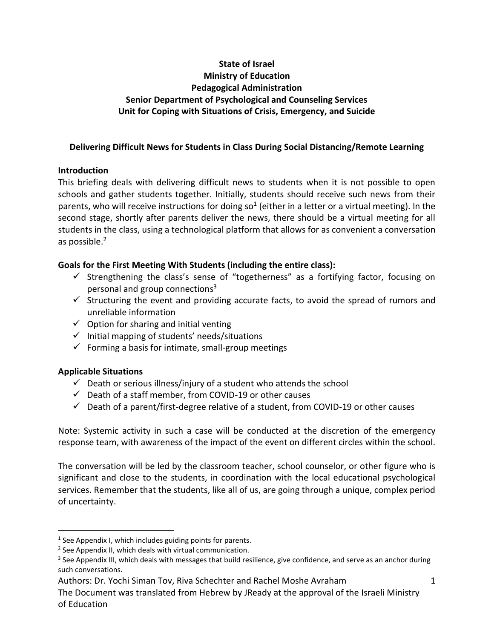# **State of Israel Ministry of Education Pedagogical Administration Senior Department of Psychological and Counseling Services Unit for Coping with Situations of Crisis, Emergency, and Suicide**

### **Delivering Difficult News for Students in Class During Social Distancing/Remote Learning**

## **Introduction**

This briefing deals with delivering difficult news to students when it is not possible to open schools and gather students together. Initially, students should receive such news from their parents, who will receive instructions for doing so<sup>1</sup> (either in a letter or a virtual meeting). In the second stage, shortly after parents deliver the news, there should be a virtual meeting for all students in the class, using a technological platform that allows for as convenient a conversation as possible.<sup>2</sup>

## **Goals for the First Meeting With Students (including the entire class):**

- $\checkmark$  Strengthening the class's sense of "togetherness" as a fortifying factor, focusing on personal and group connections $3$
- $\checkmark$  Structuring the event and providing accurate facts, to avoid the spread of rumors and unreliable information
- $\checkmark$  Option for sharing and initial venting
- $\checkmark$  Initial mapping of students' needs/situations
- $\checkmark$  Forming a basis for intimate, small-group meetings

# **Applicable Situations**

- $\checkmark$  Death or serious illness/injury of a student who attends the school
- $\checkmark$  Death of a staff member, from COVID-19 or other causes
- $\checkmark$  Death of a parent/first-degree relative of a student, from COVID-19 or other causes

Note: Systemic activity in such a case will be conducted at the discretion of the emergency response team, with awareness of the impact of the event on different circles within the school.

The conversation will be led by the classroom teacher, school counselor, or other figure who is significant and close to the students, in coordination with the local educational psychological services. Remember that the students, like all of us, are going through a unique, complex period of uncertainty.

The Document was translated from Hebrew by JReady at the approval of the Israeli Ministry of Education

 $<sup>1</sup>$  See Appendix I, which includes guiding points for parents.</sup>

<sup>&</sup>lt;sup>2</sup> See Appendix II, which deals with virtual communication.

 $3$  See Appendix III, which deals with messages that build resilience, give confidence, and serve as an anchor during such conversations.

Authors: Dr. Yochi Siman Tov, Riva Schechter and Rachel Moshe Avraham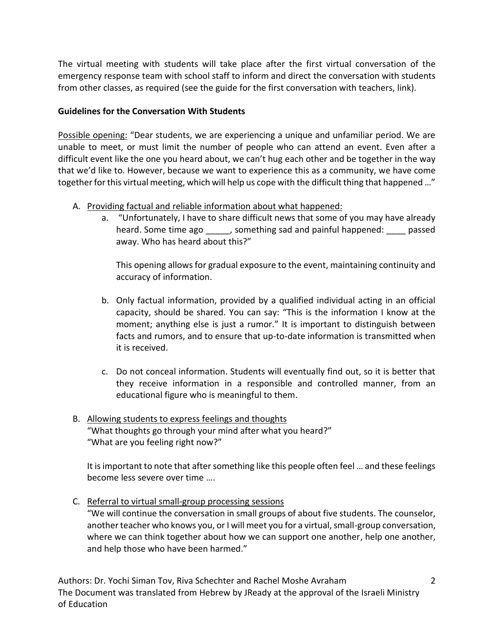The virtual meeting with students will take place after the first virtual conversation of the emergency response team with school staff to inform and direct the conversation with students from other classes, as required (see the guide for the first conversation with teachers, link).

### **Guidelines for the Conversation With Students**

Possible opening: "Dear students, we are experiencing a unique and unfamiliar period. We are unable to meet, or must limit the number of people who can attend an event. Even after a difficult event like the one you heard about, we can't hug each other and be together in the way that we'd like to. However, because we want to experience this as a community, we have come together for this virtual meeting, which will help us cope with the difficult thing that happened …"

- A. Providing factual and reliable information about what happened:
	- a. "Unfortunately, I have to share difficult news that some of you may have already heard. Some time ago \_\_\_\_\_, something sad and painful happened: \_\_\_\_ passed away. Who has heard about this?"

This opening allows for gradual exposure to the event, maintaining continuity and accuracy of information.

- b. Only factual information, provided by a qualified individual acting in an official capacity, should be shared. You can say: "This is the information I know at the moment; anything else is just a rumor." It is important to distinguish between facts and rumors, and to ensure that up-to-date information is transmitted when it is received.
- c. Do not conceal information. Students will eventually find out, so it is better that they receive information in a responsible and controlled manner, from an educational figure who is meaningful to them.

## B. Allowing students to express feelings and thoughts "What thoughts go through your mind after what you heard?" "What are you feeling right now?"

It is important to note that after something like this people often feel … and these feelings become less severe over time ….

C. Referral to virtual small-group processing sessions

"We will continue the conversation in small groups of about five students. The counselor, another teacher who knows you, or I will meet you for a virtual, small-group conversation, where we can think together about how we can support one another, help one another, and help those who have been harmed."

Authors: Dr. Yochi Siman Tov, Riva Schechter and Rachel Moshe Avraham The Document was translated from Hebrew by JReady at the approval of the Israeli Ministry of Education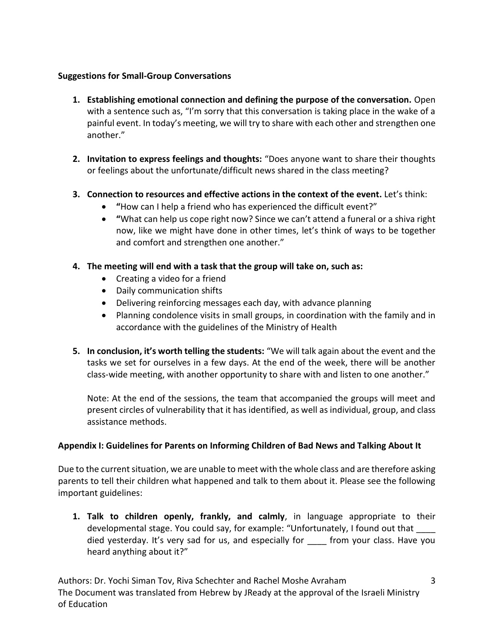### **Suggestions for Small-Group Conversations**

- **1. Establishing emotional connection and defining the purpose of the conversation.** Open with a sentence such as, "I'm sorry that this conversation is taking place in the wake of a painful event. In today's meeting, we will try to share with each other and strengthen one another."
- **2. Invitation to express feelings and thoughts:** "Does anyone want to share their thoughts or feelings about the unfortunate/difficult news shared in the class meeting?
- **3. Connection to resources and effective actions in the context of the event.** Let's think:
	- **"**How can I help a friend who has experienced the difficult event?"
	- **"**What can help us cope right now? Since we can't attend a funeral or a shiva right now, like we might have done in other times, let's think of ways to be together and comfort and strengthen one another."
- **4. The meeting will end with a task that the group will take on, such as:**
	- Creating a video for a friend
	- Daily communication shifts
	- Delivering reinforcing messages each day, with advance planning
	- Planning condolence visits in small groups, in coordination with the family and in accordance with the guidelines of the Ministry of Health
- **5. In conclusion, it's worth telling the students:** "We will talk again about the event and the tasks we set for ourselves in a few days. At the end of the week, there will be another class-wide meeting, with another opportunity to share with and listen to one another."

Note: At the end of the sessions, the team that accompanied the groups will meet and present circles of vulnerability that it has identified, as well as individual, group, and class assistance methods.

# **Appendix I: Guidelines for Parents on Informing Children of Bad News and Talking About It**

Due to the current situation, we are unable to meet with the whole class and are therefore asking parents to tell their children what happened and talk to them about it. Please see the following important guidelines:

**1. Talk to children openly, frankly, and calmly**, in language appropriate to their developmental stage. You could say, for example: "Unfortunately, I found out that \_\_\_\_ died yesterday. It's very sad for us, and especially for \_\_\_\_ from your class. Have you heard anything about it?"

Authors: Dr. Yochi Siman Tov, Riva Schechter and Rachel Moshe Avraham The Document was translated from Hebrew by JReady at the approval of the Israeli Ministry of Education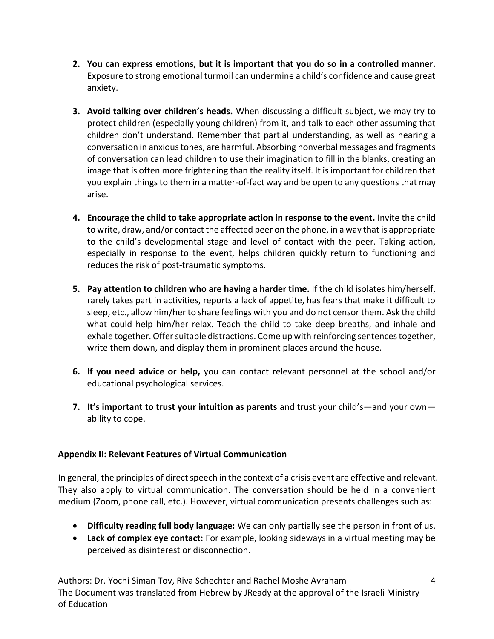- **2. You can express emotions, but it is important that you do so in a controlled manner.**  Exposure to strong emotional turmoil can undermine a child's confidence and cause great anxiety.
- **3. Avoid talking over children's heads.** When discussing a difficult subject, we may try to protect children (especially young children) from it, and talk to each other assuming that children don't understand. Remember that partial understanding, as well as hearing a conversation in anxious tones, are harmful. Absorbing nonverbal messages and fragments of conversation can lead children to use their imagination to fill in the blanks, creating an image that is often more frightening than the reality itself. It is important for children that you explain things to them in a matter-of-fact way and be open to any questions that may arise.
- **4. Encourage the child to take appropriate action in response to the event.** Invite the child to write, draw, and/or contact the affected peer on the phone, in a way that is appropriate to the child's developmental stage and level of contact with the peer. Taking action, especially in response to the event, helps children quickly return to functioning and reduces the risk of post-traumatic symptoms.
- **5. Pay attention to children who are having a harder time.** If the child isolates him/herself, rarely takes part in activities, reports a lack of appetite, has fears that make it difficult to sleep, etc., allow him/her to share feelings with you and do not censor them. Ask the child what could help him/her relax. Teach the child to take deep breaths, and inhale and exhale together. Offer suitable distractions. Come up with reinforcing sentences together, write them down, and display them in prominent places around the house.
- **6. If you need advice or help,** you can contact relevant personnel at the school and/or educational psychological services.
- **7. It's important to trust your intuition as parents** and trust your child's—and your own ability to cope.

# **Appendix II: Relevant Features of Virtual Communication**

In general, the principles of direct speech in the context of a crisis event are effective and relevant. They also apply to virtual communication. The conversation should be held in a convenient medium (Zoom, phone call, etc.). However, virtual communication presents challenges such as:

- **Difficulty reading full body language:** We can only partially see the person in front of us.
- **Lack of complex eye contact:** For example, looking sideways in a virtual meeting may be perceived as disinterest or disconnection.

Authors: Dr. Yochi Siman Tov, Riva Schechter and Rachel Moshe Avraham The Document was translated from Hebrew by JReady at the approval of the Israeli Ministry of Education